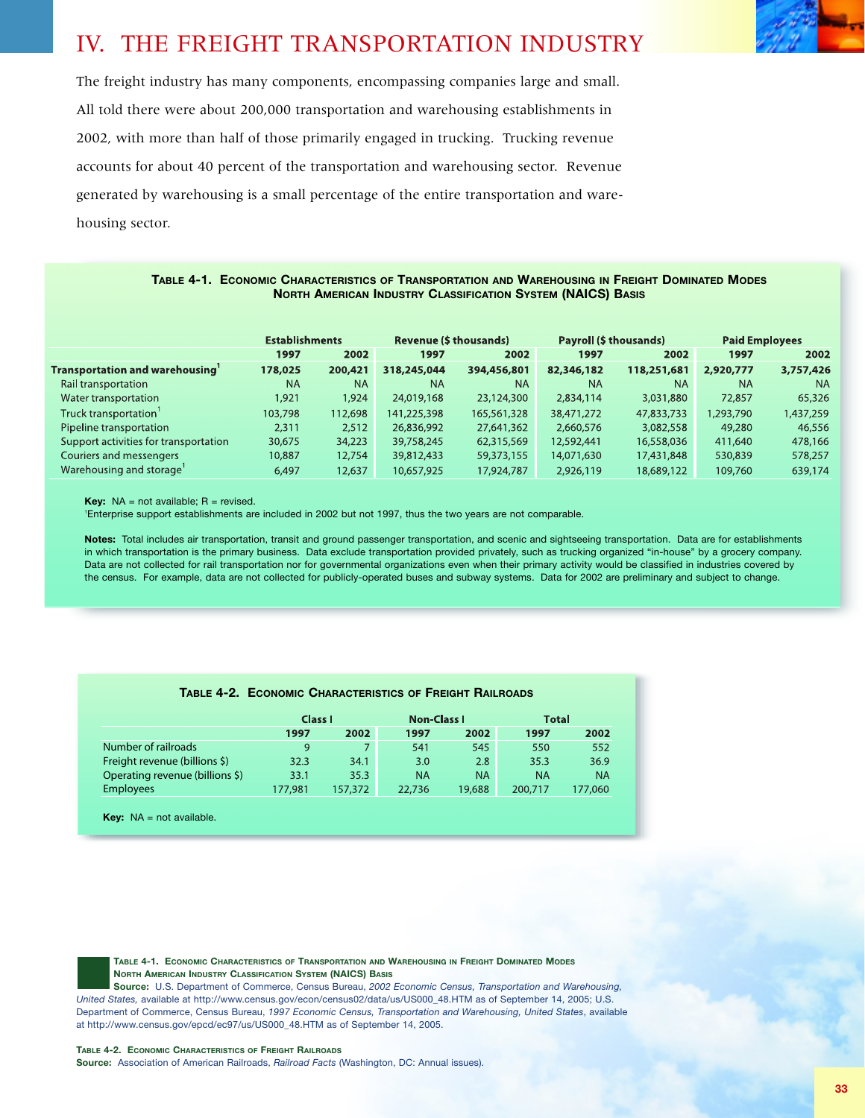## IV. THE FREIGHT TRANSPORTATION INDUSTRY

The freight industry has many components, encompassing companies large and small. All told there were about 200,000 transportation and warehousing establishments in 2002, with more than half of those primarily engaged in trucking. Trucking revenue accounts for about 40 percent of the transportation and warehousing sector. Revenue generated by warehousing is a small percentage of the entire transportation and warehousing sector.

## **TABLE 4-1. ECONOMIC CHARACTERISTICS OF TRANSPORTATION AND WAREHOUSING IN FREIGHT DOMINATED MODES NORTH AMERICAN INDUSTRY CLASSIFICATION SYSTEM (NAICS) BASIS**

|                                       | <b>Establishments</b> |           | <b>Revenue (\$ thousands)</b> |             | Payroll (\$ thousands) |             | <b>Paid Employees</b> |           |
|---------------------------------------|-----------------------|-----------|-------------------------------|-------------|------------------------|-------------|-----------------------|-----------|
|                                       | 1997                  | 2002      | 1997                          | 2002        | 1997                   | 2002        | 1997                  | 2002      |
| <b>Transportation and warehousing</b> | 178,025               | 200,421   | 318,245,044                   | 394,456,801 | 82,346,182             | 118,251,681 | 2,920,777             | 3,757,426 |
| Rail transportation                   | <b>NA</b>             | <b>NA</b> | <b>NA</b>                     | <b>NA</b>   | <b>NA</b>              | <b>NA</b>   | <b>NA</b>             | <b>NA</b> |
| Water transportation                  | 921,ا                 | 1,924     | 24,019,168                    | 23,124,300  | 2,834,114              | 3,031,880   | 72,857                | 65,326    |
| Truck transportation'                 | 103,798               | 112,698   | 141,225,398                   | 165,561,328 | 38,471,272             | 47,833,733  | 1,293,790             | 1,437,259 |
| Pipeline transportation               | 2,311                 | 2,512     | 26,836,992                    | 27,641,362  | 2,660,576              | 3,082,558   | 49,280                | 46,556    |
| Support activities for transportation | 30,675                | 34,223    | 39,758,245                    | 62,315,569  | 12,592,441             | 16,558,036  | 411,640               | 478,166   |
| Couriers and messengers               | 10,887                | 12,754    | 39,812,433                    | 59,373,155  | 14,071,630             | 17,431,848  | 530,839               | 578,257   |
| Warehousing and storage'              | 6,497                 | 12,637    | 10,657,925                    | 17,924,787  | 2,926,119              | 18,689,122  | 109,760               | 639,174   |

**Key:**  $NA = not available; R = revised.$ 

1 Enterprise support establishments are included in 2002 but not 1997, thus the two years are not comparable.

**Notes:** Total includes air transportation, transit and ground passenger transportation, and scenic and sightseeing transportation. Data are for establishments in which transportation is the primary business. Data exclude transportation provided privately, such as trucking organized "in-house" by a grocery company. Data are not collected for rail transportation nor for governmental organizations even when their primary activity would be classified in industries covered by the census. For example, data are not collected for publicly-operated buses and subway systems. Data for 2002 are preliminary and subject to change.

|                                 | Class I |         | <b>Non-Class I</b> |           | <b>Total</b> |           |
|---------------------------------|---------|---------|--------------------|-----------|--------------|-----------|
|                                 | 1997    | 2002    | 1997               | 2002      | 1997         | 2002      |
| Number of railroads             | 9       |         | 541                | 545       | 550          | 552       |
| Freight revenue (billions \$)   | 32.3    | 34.1    | 3.0                | 2.8       | 35.3         | 36.9      |
| Operating revenue (billions \$) | 33.1    | 35.3    | ΝA                 | <b>NA</b> | <b>NA</b>    | <b>NA</b> |
| <b>Employees</b>                | 177,981 | 157,372 | 22,736             | 19,688    | 200,717      | 177,060   |
|                                 |         |         |                    |           |              |           |

**TABLE 4-2. ECONOMIC CHARACTERISTICS OF FREIGHT RAILROADS**

**Key:** NA = not available.

**TABLE 4-1. ECONOMIC CHARACTERISTICS OF TRANSPORTATION AND WAREHOUSING IN FREIGHT DOMINATED MODES NORTH AMERICAN INDUSTRY CLASSIFICATION SYSTEM (NAICS) BASIS**

**Source:** U.S. Department of Commerce, Census Bureau, *2002 Economic Census, Transportation and Warehousing, United States,* available at http://www.census.gov/econ/census02/data/us/US000\_48.HTM as of September 14, 2005; U.S. Department of Commerce, Census Bureau, *1997 Economic Census, Transportation and Warehousing, United States*, available at http://www.census.gov/epcd/ec97/us/US000\_48.HTM as of September 14, 2005.

## **TABLE 4-2. ECONOMIC CHARACTERISTICS OF FREIGHT RAILROADS**

Source: Association of American Railroads, *Railroad Facts* (Washington, DC: Annual issues).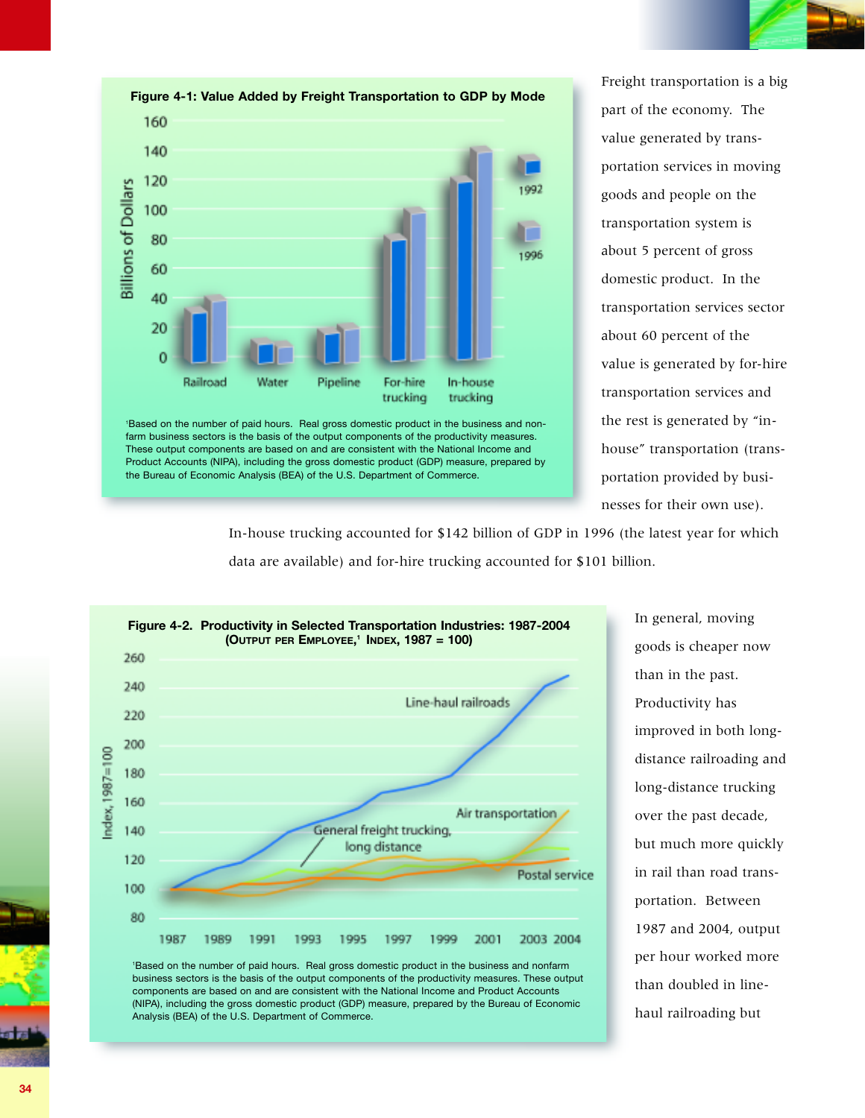



Freight transportation is a big part of the economy. The value generated by transportation services in moving goods and people on the transportation system is about 5 percent of gross domestic product. In the transportation services sector about 60 percent of the value is generated by for-hire transportation services and the rest is generated by "inhouse" transportation (transportation provided by businesses for their own use).

In-house trucking accounted for \$142 billion of GDP in 1996 (the latest year for which data are available) and for-hire trucking accounted for \$101 billion.



In general, moving goods is cheaper now than in the past. Productivity has improved in both longdistance railroading and long-distance trucking over the past decade, but much more quickly in rail than road transportation. Between 1987 and 2004, output per hour worked more than doubled in linehaul railroading but



**34**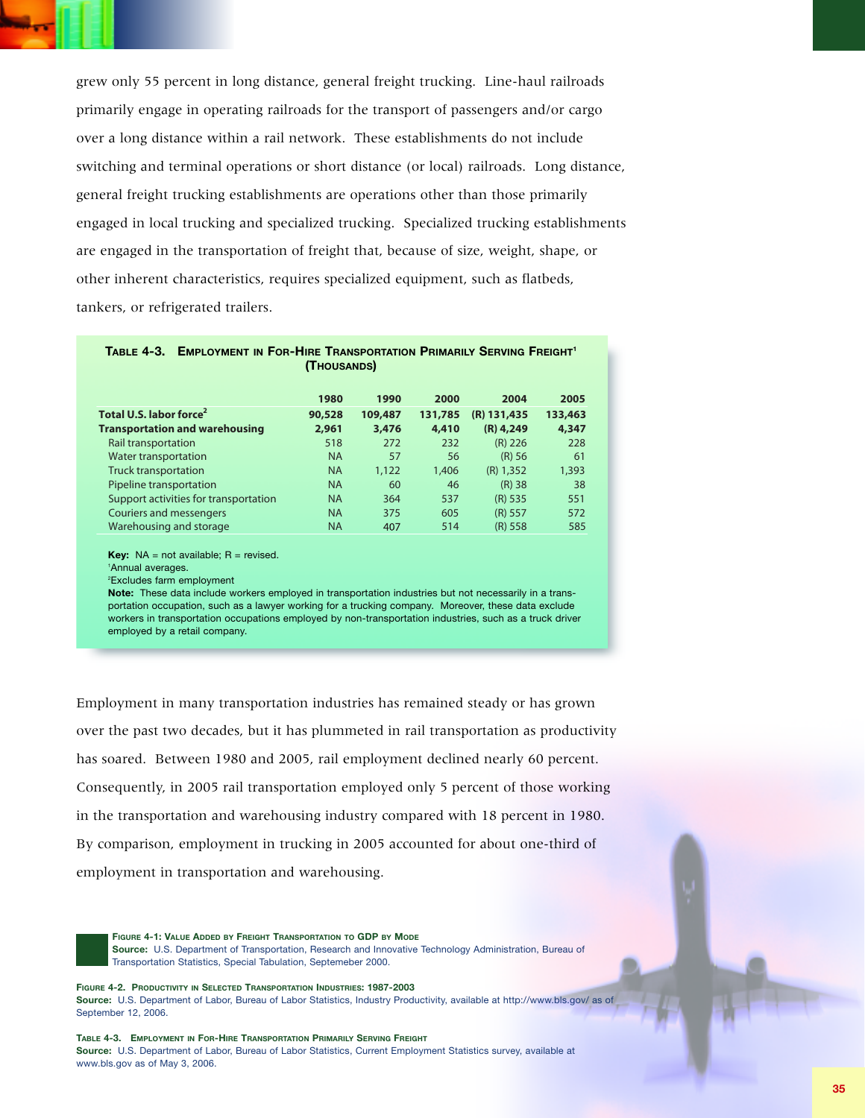

grew only 55 percent in long distance, general freight trucking. Line-haul railroads primarily engage in operating railroads for the transport of passengers and/or cargo over a long distance within a rail network. These establishments do not include switching and terminal operations or short distance (or local) railroads. Long distance, general freight trucking establishments are operations other than those primarily engaged in local trucking and specialized trucking. Specialized trucking establishments are engaged in the transportation of freight that, because of size, weight, shape, or other inherent characteristics, requires specialized equipment, such as flatbeds, tankers, or refrigerated trailers. general freight trucking. Line-haul railro.<br>
1980 for the transport of passengers and/or car<br>
1990 for the transport of passengers and/or car<br>
1990 for Iocal process are operations other than those primarily<br>
1990 speciali M only 55 percent in long distance, general freight trucking. Line-haul railroary<br>
Transport of anomal operating and letwork. These establishments do not include<br>
the ching and terminal operations or short distance (or lo only 55 percent in long distance, general freight trucking. Line-haul railro<br>
arily engage in operating railroads for the transport of passengers and/or car<br>
al long distance within a rail network. These establishments do only 55 percent in long distance, general freight trucking. Line-haul railroadinal percent in long distance within a rail network. These establishments do not include<br>
hing and terminal operations or short distance (or loc

| imarily engage in operating railroads for the transport of passengers and/or cargo                                                                                                                                                                                                                                                                                                                                                                                                        |                |                 |                 |                     |                 |  |  |  |
|-------------------------------------------------------------------------------------------------------------------------------------------------------------------------------------------------------------------------------------------------------------------------------------------------------------------------------------------------------------------------------------------------------------------------------------------------------------------------------------------|----------------|-----------------|-----------------|---------------------|-----------------|--|--|--|
| ver a long distance within a rail network. These establishments do not include                                                                                                                                                                                                                                                                                                                                                                                                            |                |                 |                 |                     |                 |  |  |  |
| vitching and terminal operations or short distance (or local) railroads. Long distar                                                                                                                                                                                                                                                                                                                                                                                                      |                |                 |                 |                     |                 |  |  |  |
| eneral freight trucking establishments are operations other than those primarily                                                                                                                                                                                                                                                                                                                                                                                                          |                |                 |                 |                     |                 |  |  |  |
| independent local trucking and specialized trucking. Specialized trucking establishme                                                                                                                                                                                                                                                                                                                                                                                                     |                |                 |                 |                     |                 |  |  |  |
| e engaged in the transportation of freight that, because of size, weight, shape, or                                                                                                                                                                                                                                                                                                                                                                                                       |                |                 |                 |                     |                 |  |  |  |
| ther inherent characteristics, requires specialized equipment, such as flatbeds,                                                                                                                                                                                                                                                                                                                                                                                                          |                |                 |                 |                     |                 |  |  |  |
| nkers, or refrigerated trailers.                                                                                                                                                                                                                                                                                                                                                                                                                                                          |                |                 |                 |                     |                 |  |  |  |
| TABLE 4-3. EMPLOYMENT IN FOR-HIRE TRANSPORTATION PRIMARILY SERVING FREIGHT<br>(THOUSANDS)                                                                                                                                                                                                                                                                                                                                                                                                 |                |                 |                 |                     |                 |  |  |  |
| Total U.S. labor force <sup>2</sup>                                                                                                                                                                                                                                                                                                                                                                                                                                                       | 1980<br>90,528 | 1990<br>109,487 | 2000<br>131,785 | 2004<br>(R) 131,435 | 2005<br>133,463 |  |  |  |
| <b>Transportation and warehousing</b>                                                                                                                                                                                                                                                                                                                                                                                                                                                     | 2,961          | 3,476           | 4,410           | $(R)$ 4,249         | 4,347           |  |  |  |
| Rail transportation                                                                                                                                                                                                                                                                                                                                                                                                                                                                       | 518            | 272             | 232             | $(R)$ 226           | 228             |  |  |  |
| Water transportation                                                                                                                                                                                                                                                                                                                                                                                                                                                                      | <b>NA</b>      | 57              | 56              | (R) 56              | 61              |  |  |  |
| <b>Truck transportation</b>                                                                                                                                                                                                                                                                                                                                                                                                                                                               | <b>NA</b>      | 1,122           | 1,406           | $(R)$ 1,352         | 1,393           |  |  |  |
| Pipeline transportation                                                                                                                                                                                                                                                                                                                                                                                                                                                                   | <b>NA</b>      | 60              | 46              | $(R)$ 38            | 38              |  |  |  |
| Support activities for transportation                                                                                                                                                                                                                                                                                                                                                                                                                                                     | <b>NA</b>      | 364             | 537             | $(R)$ 535           | 551             |  |  |  |
| <b>Couriers and messengers</b>                                                                                                                                                                                                                                                                                                                                                                                                                                                            | <b>NA</b>      | 375             | 605             | $(R)$ 557           | 572             |  |  |  |
| Warehousing and storage                                                                                                                                                                                                                                                                                                                                                                                                                                                                   | <b>NA</b>      | 407             | 514             | $(R)$ 558           | 585             |  |  |  |
| <b>Key:</b> $NA = not available$ ; $R = revised$ .<br><sup>1</sup> Annual averages.<br><sup>2</sup> Excludes farm employment<br>Note: These data include workers employed in transportation industries but not necessarily in a trans-<br>portation occupation, such as a lawyer working for a trucking company. Moreover, these data exclude<br>workers in transportation occupations employed by non-transportation industries, such as a truck driver<br>employed by a retail company. |                |                 |                 |                     |                 |  |  |  |
|                                                                                                                                                                                                                                                                                                                                                                                                                                                                                           |                |                 |                 |                     |                 |  |  |  |

Employment in many transportation industries has remained steady or has grown over the past two decades, but it has plummeted in rail transportation as productivity has soared. Between 1980 and 2005, rail employment declined nearly 60 percent. Consequently, in 2005 rail transportation employed only 5 percent of those working in the transportation and warehousing industry compared with 18 percent in 1980. By comparison, employment in trucking in 2005 accounted for about one-third of employment in transportation and warehousing.

**FIGURE 4-1: VALUE ADDED BY FREIGHT TRANSPORTATION TO GDP BY MODE Source:** U.S. Department of Transportation, Research and Innovative Technology Administration, Bureau of Transportation Statistics, Special Tabulation, Septemeber 2000.

**FIGURE 4-2. PRODUCTIVITY IN SELECTED TRANSPORTATION INDUSTRIES: 1987-2003 Source:** U.S. Department of Labor, Bureau of Labor Statistics, Industry Productivity, available at http://www.bls.gov/ as of September 12, 2006.

**TABLE 4-3. EMPLOYMENT IN FOR-HIRE TRANSPORTATION PRIMARILY SERVING FREIGHT Source:** U.S. Department of Labor, Bureau of Labor Statistics, Current Employment Statistics survey, available at www.bls.gov as of May 3, 2006.